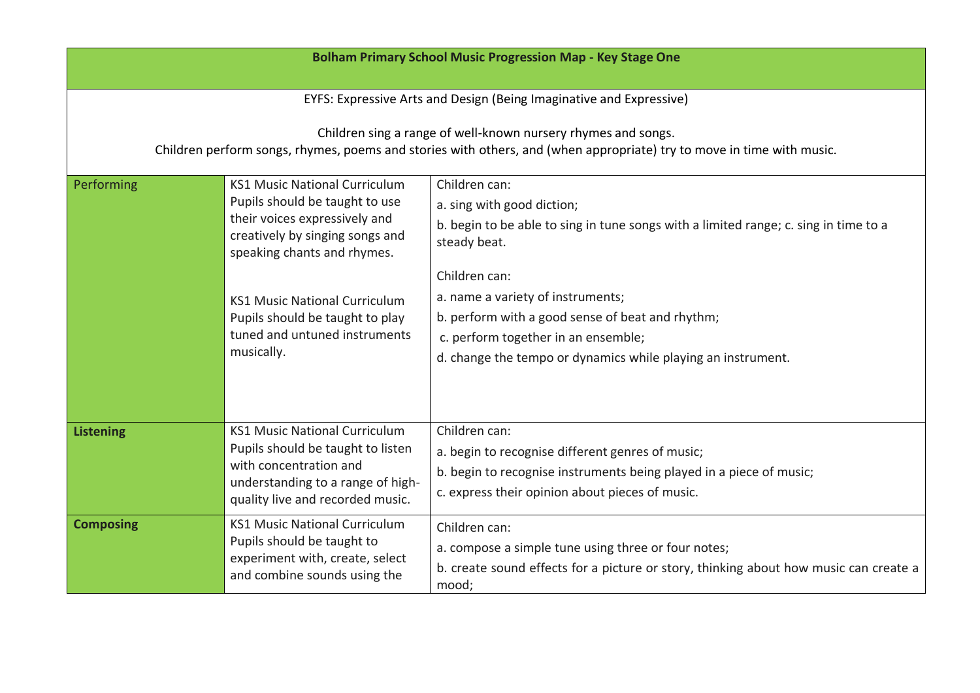| <b>Bolham Primary School Music Progression Map - Key Stage One</b>                                                                                                                     |                                                                                                                                                                                                                                                                                                     |                                                                                                                                                                                                                                                                                                                                                                      |  |  |
|----------------------------------------------------------------------------------------------------------------------------------------------------------------------------------------|-----------------------------------------------------------------------------------------------------------------------------------------------------------------------------------------------------------------------------------------------------------------------------------------------------|----------------------------------------------------------------------------------------------------------------------------------------------------------------------------------------------------------------------------------------------------------------------------------------------------------------------------------------------------------------------|--|--|
| EYFS: Expressive Arts and Design (Being Imaginative and Expressive)                                                                                                                    |                                                                                                                                                                                                                                                                                                     |                                                                                                                                                                                                                                                                                                                                                                      |  |  |
| Children sing a range of well-known nursery rhymes and songs.<br>Children perform songs, rhymes, poems and stories with others, and (when appropriate) try to move in time with music. |                                                                                                                                                                                                                                                                                                     |                                                                                                                                                                                                                                                                                                                                                                      |  |  |
| Performing                                                                                                                                                                             | <b>KS1 Music National Curriculum</b><br>Pupils should be taught to use<br>their voices expressively and<br>creatively by singing songs and<br>speaking chants and rhymes.<br><b>KS1 Music National Curriculum</b><br>Pupils should be taught to play<br>tuned and untuned instruments<br>musically. | Children can:<br>a. sing with good diction;<br>b. begin to be able to sing in tune songs with a limited range; c. sing in time to a<br>steady beat.<br>Children can:<br>a. name a variety of instruments;<br>b. perform with a good sense of beat and rhythm;<br>c. perform together in an ensemble;<br>d. change the tempo or dynamics while playing an instrument. |  |  |
| <b>Listening</b>                                                                                                                                                                       | <b>KS1 Music National Curriculum</b><br>Pupils should be taught to listen<br>with concentration and<br>understanding to a range of high-<br>quality live and recorded music.                                                                                                                        | Children can:<br>a. begin to recognise different genres of music;<br>b. begin to recognise instruments being played in a piece of music;<br>c. express their opinion about pieces of music.                                                                                                                                                                          |  |  |
| <b>Composing</b>                                                                                                                                                                       | <b>KS1 Music National Curriculum</b><br>Pupils should be taught to<br>experiment with, create, select<br>and combine sounds using the                                                                                                                                                               | Children can:<br>a. compose a simple tune using three or four notes;<br>b. create sound effects for a picture or story, thinking about how music can create a<br>mood;                                                                                                                                                                                               |  |  |